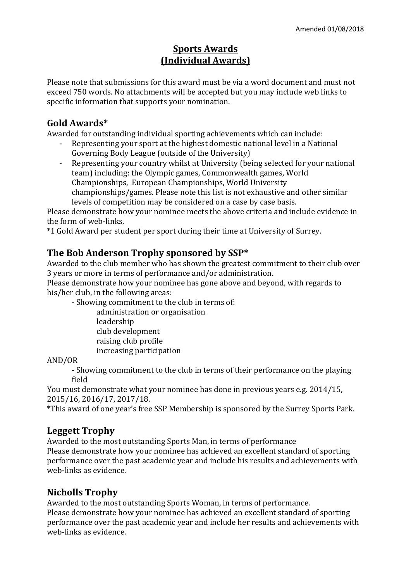## **Sports Awards (Individual Awards)**

Please note that submissions for this award must be via a word document and must not exceed 750 words. No attachments will be accepted but you may include web links to specific information that supports your nomination.

#### **Gold Awards\***

Awarded for outstanding individual sporting achievements which can include:

- Representing your sport at the highest domestic national level in a National Governing Body League (outside of the University)
- Representing your country whilst at University (being selected for your national team) including: the Olympic games, Commonwealth games, World Championships, European Championships, World University championships/games. Please note this list is not exhaustive and other similar levels of competition may be considered on a case by case basis.

Please demonstrate how your nominee meets the above criteria and include evidence in the form of web-links.

\*1 Gold Award per student per sport during their time at University of Surrey.

#### **The Bob Anderson Trophy sponsored by SSP\***

Awarded to the club member who has shown the greatest commitment to their club over 3 years or more in terms of performance and/or administration.

Please demonstrate how your nominee has gone above and beyond, with regards to his/her club, in the following areas:

- Showing commitment to the club in terms of:

administration or organisation

- leadership
- club development
- raising club profile
- increasing participation

#### AND/OR

- Showing commitment to the club in terms of their performance on the playing field

You must demonstrate what your nominee has done in previous years e.g. 2014/15, 2015/16, 2016/17, 2017/18.

\*This award of one year's free SSP Membership is sponsored by the Surrey Sports Park.

#### **Leggett Trophy**

Awarded to the most outstanding Sports Man, in terms of performance Please demonstrate how your nominee has achieved an excellent standard of sporting performance over the past academic year and include his results and achievements with web-links as evidence.

## **Nicholls Trophy**

Awarded to the most outstanding Sports Woman, in terms of performance.

Please demonstrate how your nominee has achieved an excellent standard of sporting performance over the past academic year and include her results and achievements with web-links as evidence.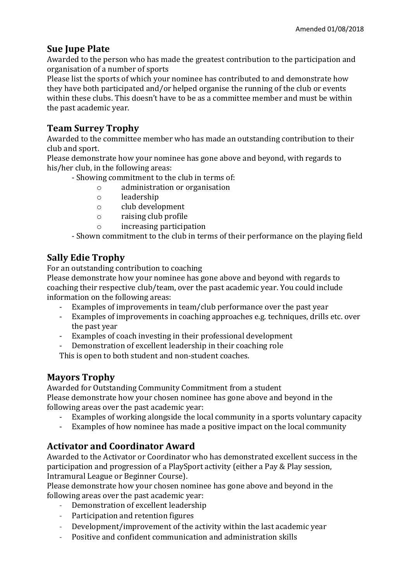## **Sue Jupe Plate**

Awarded to the person who has made the greatest contribution to the participation and organisation of a number of sports

Please list the sports of which your nominee has contributed to and demonstrate how they have both participated and/or helped organise the running of the club or events within these clubs. This doesn't have to be as a committee member and must be within the past academic year.

# **Team Surrey Trophy**

Awarded to the committee member who has made an outstanding contribution to their club and sport.

Please demonstrate how your nominee has gone above and beyond, with regards to his/her club, in the following areas:

- Showing commitment to the club in terms of:
	- o administration or organisation
	- o leadership
	- o club development
	- o raising club profile
	- o increasing participation

- Shown commitment to the club in terms of their performance on the playing field

## **Sally Edie Trophy**

For an outstanding contribution to coaching

Please demonstrate how your nominee has gone above and beyond with regards to coaching their respective club/team, over the past academic year. You could include information on the following areas:

- Examples of improvements in team/club performance over the past year
- Examples of improvements in coaching approaches e.g. techniques, drills etc. over the past year
- Examples of coach investing in their professional development
- Demonstration of excellent leadership in their coaching role

This is open to both student and non-student coaches.

#### **Mayors Trophy**

Awarded for Outstanding Community Commitment from a student Please demonstrate how your chosen nominee has gone above and beyond in the following areas over the past academic year:

- Examples of working alongside the local community in a sports voluntary capacity
- Examples of how nominee has made a positive impact on the local community

## **Activator and Coordinator Award**

Awarded to the Activator or Coordinator who has demonstrated excellent success in the participation and progression of a PlaySport activity (either a Pay & Play session, Intramural League or Beginner Course).

Please demonstrate how your chosen nominee has gone above and beyond in the following areas over the past academic year:

- Demonstration of excellent leadership
- Participation and retention figures
- Development/improvement of the activity within the last academic year
- Positive and confident communication and administration skills